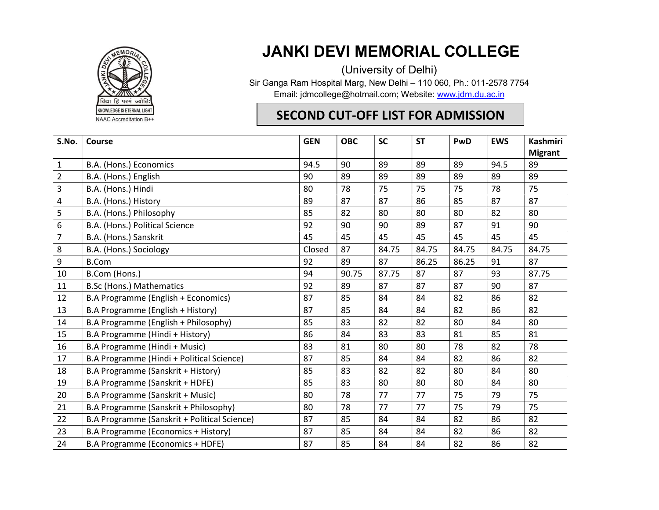

JANKI DEVI MEMORIAL COLLEGE

(University of Delhi) Sir Ganga Ram Hospital Marg, New Delhi – 110 060, Ph.: 011-2578 7754 Email: jdmcollege@hotmail.com; Website: www.jdm.du.ac.in

## SECOND CUT-OFF LIST FOR ADMISSION

| S.No.          | <b>Course</b>                                | <b>GEN</b> | <b>OBC</b> | <b>SC</b> | <b>ST</b> | PwD   | <b>EWS</b> | <b>Kashmiri</b> |
|----------------|----------------------------------------------|------------|------------|-----------|-----------|-------|------------|-----------------|
|                |                                              |            |            |           |           |       |            | <b>Migrant</b>  |
| 1              | B.A. (Hons.) Economics                       | 94.5       | 90         | 89        | 89        | 89    | 94.5       | 89              |
| $\overline{2}$ | B.A. (Hons.) English                         | 90         | 89         | 89        | 89        | 89    | 89         | 89              |
| 3              | B.A. (Hons.) Hindi                           | 80         | 78         | 75        | 75        | 75    | 78         | 75              |
| 4              | B.A. (Hons.) History                         | 89         | 87         | 87        | 86        | 85    | 87         | 87              |
| 5              | B.A. (Hons.) Philosophy                      | 85         | 82         | 80        | 80        | 80    | 82         | 80              |
| 6              | B.A. (Hons.) Political Science               | 92         | 90         | 90        | 89        | 87    | 91         | 90              |
| $\overline{7}$ | B.A. (Hons.) Sanskrit                        | 45         | 45         | 45        | 45        | 45    | 45         | 45              |
| 8              | B.A. (Hons.) Sociology                       | Closed     | 87         | 84.75     | 84.75     | 84.75 | 84.75      | 84.75           |
| 9              | <b>B.Com</b>                                 | 92         | 89         | 87        | 86.25     | 86.25 | 91         | 87              |
| 10             | B.Com (Hons.)                                | 94         | 90.75      | 87.75     | 87        | 87    | 93         | 87.75           |
| 11             | B.Sc (Hons.) Mathematics                     | 92         | 89         | 87        | 87        | 87    | 90         | 87              |
| 12             | B.A Programme (English + Economics)          | 87         | 85         | 84        | 84        | 82    | 86         | 82              |
| 13             | B.A Programme (English + History)            | 87         | 85         | 84        | 84        | 82    | 86         | 82              |
| 14             | B.A Programme (English + Philosophy)         | 85         | 83         | 82        | 82        | 80    | 84         | 80              |
| 15             | B.A Programme (Hindi + History)              | 86         | 84         | 83        | 83        | 81    | 85         | 81              |
| 16             | B.A Programme (Hindi + Music)                | 83         | 81         | 80        | 80        | 78    | 82         | 78              |
| 17             | B.A Programme (Hindi + Political Science)    | 87         | 85         | 84        | 84        | 82    | 86         | 82              |
| 18             | B.A Programme (Sanskrit + History)           | 85         | 83         | 82        | 82        | 80    | 84         | 80              |
| 19             | B.A Programme (Sanskrit + HDFE)              | 85         | 83         | 80        | 80        | 80    | 84         | 80              |
| 20             | B.A Programme (Sanskrit + Music)             | 80         | 78         | 77        | 77        | 75    | 79         | 75              |
| 21             | B.A Programme (Sanskrit + Philosophy)        | 80         | 78         | 77        | 77        | 75    | 79         | 75              |
| 22             | B.A Programme (Sanskrit + Political Science) | 87         | 85         | 84        | 84        | 82    | 86         | 82              |
| 23             | B.A Programme (Economics + History)          | 87         | 85         | 84        | 84        | 82    | 86         | 82              |
| 24             | B.A Programme (Economics + HDFE)             | 87         | 85         | 84        | 84        | 82    | 86         | 82              |